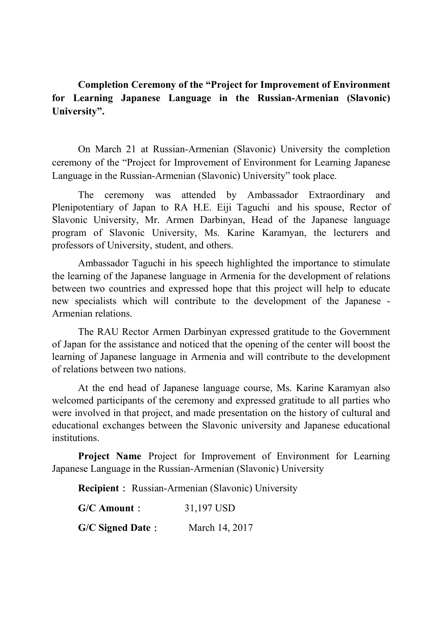**Completion Ceremony of the "Project for Improvement of Environment for Learning Japanese Language in the Russian-Armenian (Slavonic) University".**

On March 21 at Russian-Armenian (Slavonic) University the completion ceremony of the "Project for Improvement of Environment for Learning Japanese Language in the Russian-Armenian (Slavonic) University" took place.

The ceremony was attended by Ambassador Extraordinary and Plenipotentiary of Japan to RA H.E. Eiji Taguchi and his spouse, Rector of Slavonic University, Mr. Armen Darbinyan, Head of the Japanese language program of Slavonic University, Ms. Karine Karamyan, the lecturers and professors of University, student, and others.

Ambassador Taguchi in his speech highlighted the importance to stimulate the learning of the Japanese language in Armenia for the development of relations between two countries and expressed hope that this project will help to educate new specialists which will contribute to the development of the Japanese - Armenian relations.

The RAU Rector Armen Darbinyan expressed gratitude to the Government of Japan for the assistance and noticed that the opening of the center will boost the learning of Japanese language in Armenia and will contribute to the development of relations between two nations.

At the end head of Japanese language course, Ms. Karine Karamyan also welcomed participants of the ceremony and expressed gratitude to all parties who were involved in that project, and made presentation on the history of cultural and educational exchanges between the Slavonic university and Japanese educational institutions.

**Project Name** Project for Improvement of Environment for Learning Japanese Language in the Russian-Armenian (Slavonic) University

**Recipient**: Russian-Armenian (Slavonic) University

| $G/C$ Amount :          | 31,197 USD     |
|-------------------------|----------------|
| <b>G/C Signed Date:</b> | March 14, 2017 |